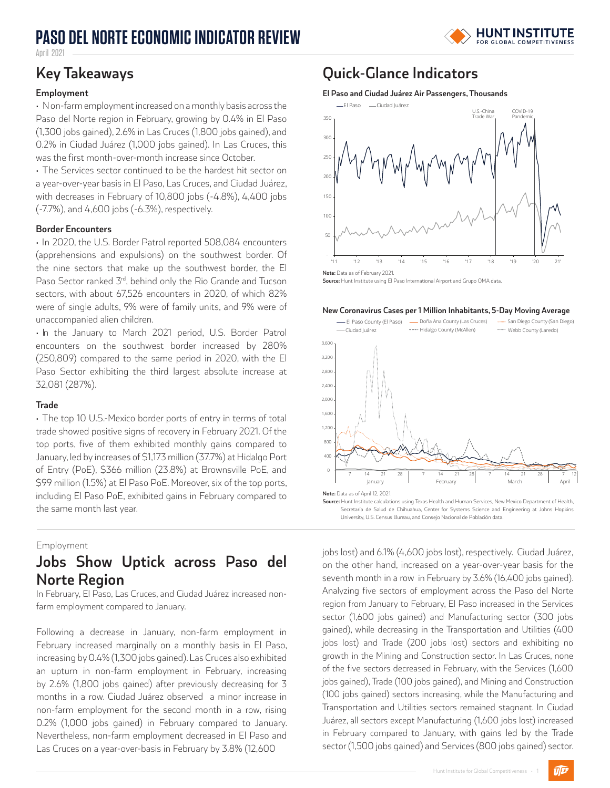# **PASO DEL NORTE ECONOMIC INDICATOR REVIEW**



April 2021

### **Employment**

• Non-farm employment increased on a monthly basis across the Paso del Norte region in February, growing by 0.4% in El Paso (1,300 jobs gained), 2.6% in Las Cruces (1,800 jobs gained), and 0.2% in Ciudad Juárez (1,000 jobs gained). In Las Cruces, this was the first month-over-month increase since October.

• The Services sector continued to be the hardest hit sector on a year-over-year basis in El Paso, Las Cruces, and Ciudad Juárez, with decreases in February of 10,800 jobs (-4.8%), 4,400 jobs (-7.7%), and 4,600 jobs (-6.3%), respectively.

### **Border Encounters**

• In 2020, the U.S. Border Patrol reported 508,084 encounters (apprehensions and expulsions) on the southwest border. Of the nine sectors that make up the southwest border, the El Paso Sector ranked 3<sup>rd</sup>, behind only the Rio Grande and Tucson sectors, with about 67,526 encounters in 2020, of which 82% were of single adults, 9% were of family units, and 9% were of unaccompanied alien children.

• In the January to March 2021 period, U.S. Border Patrol encounters on the southwest border increased by 280% (250,809) compared to the same period in 2020, with the El Paso Sector exhibiting the third largest absolute increase at 32,081 (287%).

### **Trade**

• The top 10 U.S.-Mexico border ports of entry in terms of total trade showed positive signs of recovery in February 2021. Of the top ports, five of them exhibited monthly gains compared to January, led by increases of \$1,173 million (37.7%) at Hidalgo Port of Entry (PoE), \$366 million (23.8%) at Brownsville PoE, and \$99 million (1.5%) at El Paso PoE. Moreover, six of the top ports, including El Paso PoE, exhibited gains in February compared to the same month last year.

### Employment

## **Jobs Show Uptick across Paso del Norte Region**

In February, El Paso, Las Cruces, and Ciudad Juárez increased nonfarm employment compared to January.

Following a decrease in January, non-farm employment in February increased marginally on a monthly basis in El Paso, increasing by 0.4% (1,300 jobs gained). Las Cruces also exhibited an upturn in non-farm employment in February, increasing by 2.6% (1,800 jobs gained) after previously decreasing for 3 months in a row. Ciudad Juárez observed a minor increase in non-farm employment for the second month in a row, rising 0.2% (1,000 jobs gained) in February compared to January. Nevertheless, non-farm employment decreased in El Paso and Las Cruces on a year-over-basis in February by 3.8% (12,600

# **Key Takeaways Quick-Glance Indicators**

#### **El Paso and Ciudad Juárez Air Passengers, Thousands**



**Note:** Data as of February 2021.

**Source:** Hunt Institute using El Paso International Airport and Grupo OMA data.

#### **New Coronavirus Cases per 1 Million Inhabitants, 5-Day Moving Average**



Secretaría de Salud de Chihuahua, Center for Systems Science and Engineering at Johns Hopkins University, U.S. Census Bureau, and Consejo Nacional de Población data.

jobs lost) and 6.1% (4,600 jobs lost), respectively. Ciudad Juárez, on the other hand, increased on a year-over-year basis for the seventh month in a row in February by 3.6% (16,400 jobs gained). Analyzing five sectors of employment across the Paso del Norte region from January to February, El Paso increased in the Services sector (1,600 jobs gained) and Manufacturing sector (300 jobs gained), while decreasing in the Transportation and Utilities (400 jobs lost) and Trade (200 jobs lost) sectors and exhibiting no growth in the Mining and Construction sector. In Las Cruces, none of the five sectors decreased in February, with the Services (1,600 jobs gained), Trade (100 jobs gained), and Mining and Construction (100 jobs gained) sectors increasing, while the Manufacturing and Transportation and Utilities sectors remained stagnant. In Ciudad Juárez, all sectors except Manufacturing (1,600 jobs lost) increased in February compared to January, with gains led by the Trade sector (1,500 jobs gained) and Services (800 jobs gained) sector.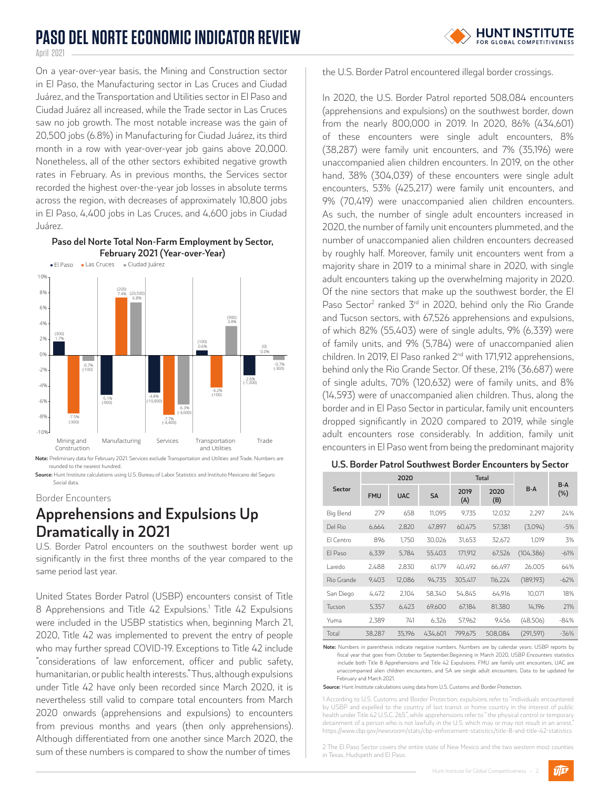# **PASO DEL NORTE ECONOMIC INDICATOR REVIEW**



April 2021

On a year-over-year basis, the Mining and Construction sector in El Paso, the Manufacturing sector in Las Cruces and Ciudad Juárez, and the Transportation and Utilities sector in El Paso and Ciudad Juárez all increased, while the Trade sector in Las Cruces saw no job growth. The most notable increase was the gain of 20,500 jobs (6.8%) in Manufacturing for Ciudad Juárez, its third month in a row with year-over-year job gains above 20,000. Nonetheless, all of the other sectors exhibited negative growth rates in February. As in previous months, the Services sector recorded the highest over-the-year job losses in absolute terms across the region, with decreases of approximately 10,800 jobs in El Paso, 4,400 jobs in Las Cruces, and 4,600 jobs in Ciudad Juárez.

### **Paso del Norte Total Non-Farm Employment by Sector, February 2021 (Year-over-Year)**



**Note:** Preliminary data for February 2021. Services exclude Transportation and Utilities and Trade. Numbers are rounded to the nearest hundred.

**Source:** Hunt Institute calculations using U.S. Bureau of Labor Statistics and Instituto Mexicano del Seguro Social data

#### Border Encounters

# **Apprehensions and Expulsions Up Dramatically in 2021**

U.S. Border Patrol encounters on the southwest border went up significantly in the first three months of the year compared to the same period last year.

United States Border Patrol (USBP) encounters consist of Title 8 Apprehensions and Title 42 Expulsions.<sup>1</sup> Title 42 Expulsions were included in the USBP statistics when, beginning March 21, 2020, Title 42 was implemented to prevent the entry of people who may further spread COVID-19. Exceptions to Title 42 include "considerations of law enforcement, officer and public safety, humanitarian, or public health interests." Thus, although expulsions under Title 42 have only been recorded since March 2020, it is nevertheless still valid to compare total encounters from March 2020 onwards (apprehensions and expulsions) to encounters from previous months and years (then only apprehensions). Although differentiated from one another since March 2020, the sum of these numbers is compared to show the number of times

the U.S. Border Patrol encountered illegal border crossings.

In 2020, the U.S. Border Patrol reported 508,084 encounters (apprehensions and expulsions) on the southwest border, down from the nearly 800,000 in 2019. In 2020, 86% (434,601) of these encounters were single adult encounters, 8% (38,287) were family unit encounters, and 7% (35,196) were unaccompanied alien children encounters. In 2019, on the other hand, 38% (304,039) of these encounters were single adult encounters, 53% (425,217) were family unit encounters, and 9% (70,419) were unaccompanied alien children encounters. As such, the number of single adult encounters increased in 2020, the number of family unit encounters plummeted, and the number of unaccompanied alien children encounters decreased by roughly half. Moreover, family unit encounters went from a majority share in 2019 to a minimal share in 2020, with single adult encounters taking up the overwhelming majority in 2020. Of the nine sectors that make up the southwest border, the El Paso Sector<sup>2</sup> ranked 3<sup>rd</sup> in 2020, behind only the Rio Grande and Tucson sectors, with 67,526 apprehensions and expulsions, of which 82% (55,403) were of single adults, 9% (6,339) were of family units, and 9% (5,784) were of unaccompanied alien children. In 2019, El Paso ranked  $2^{nd}$  with 171,912 apprehensions, behind only the Rio Grande Sector. Of these, 21% (36,687) were of single adults, 70% (120,632) were of family units, and 8% (14,593) were of unaccompanied alien children. Thus, along the border and in El Paso Sector in particular, family unit encounters dropped significantly in 2020 compared to 2019, while single adult encounters rose considerably. In addition, family unit encounters in El Paso went from being the predominant majority

### **U.S. Border Patrol Southwest Border Encounters by Sector**

|            | 2020       |            |           | <b>Total</b> |             |            |               |
|------------|------------|------------|-----------|--------------|-------------|------------|---------------|
| Sector     | <b>FMU</b> | <b>UAC</b> | <b>SA</b> | 2019<br>(A)  | 2020<br>(B) | $B-A$      | $B-A$<br>(% ) |
| Big Bend   | 279        | 658        | 11.095    | 9.735        | 12.032      | 2.297      | 24%           |
| Del Rio    | 6,664      | 2,820      | 47,897    | 60,475       | 57,381      | (3,094)    | $-5%$         |
| El Centro  | 896        | 1.750      | 30.026    | 31.653       | 32.672      | 1.019      | 3%            |
| El Paso    | 6,339      | 5,784      | 55,403    | 171,912      | 67,526      | (104, 386) | $-61%$        |
| Laredo     | 2,488      | 2.830      | 61.179    | 40.492       | 66,497      | 26.005     | 64%           |
| Rio Grande | 9,403      | 12,086     | 94,735    | 305,417      | 116,224     | (189, 193) | $-62%$        |
| San Diego  | 4,472      | 2.104      | 58,340    | 54.845       | 64,916      | 10.071     | 18%           |
| Tucson     | 5,357      | 6,423      | 69.600    | 67.184       | 81,380      | 14.196     | 21%           |
| Yuma       | 2.389      | 741        | 6.326     | 57.962       | 9.456       | (48,506)   | $-84%$        |
| Total      | 38.287     | 35.196     | 434.601   | 799.675      | 508.084     | (291, 591) | $-36%$        |

**Note:** Numbers in parenthesis indicate negative numbers. Numbers are by calendar years; USBP reports by fiscal year that goes from October to September.Beginning in March 2020, USBP Encounters statistics include both Title 8 Apprehensions and Title 42 Expulsions. FMU are family unit encounters, UAC are unaccompanied alien children encounters, and SA are single adult encounters. Data to be updated for February and March 2021.

**Source:** Hunt Institute calculations using data from U.S. Customs and Border Protection.

1 According to U.S. Customs and Border Protection, expulsions refer to "individuals encountered by USBP and expelled to the country of last transit or home country in the interest of public health under Title 42 U.S.C. 265.", while apprehensions refer to " the physical control or temporary detainment of a person who is not lawfully in the U.S. which may or may not result in an arrest." https://www.cbp.gov/newsroom/stats/cbp-enforcement-statistics/title-8-and-title-42-statistics

2 The El Paso Sector covers the entire state of New Mexico and the two western most counties in Texas, Hudspeth and El Paso.